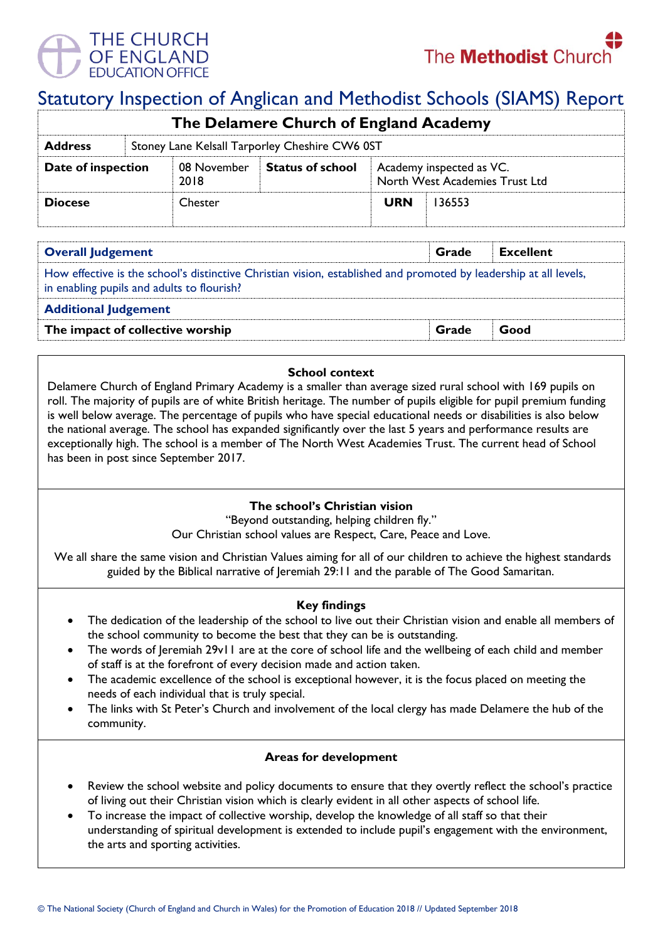

# Statutory Inspection of Anglican and Methodist Schools (SIAMS) Report

| The Delamere Church of England Academy |                                                |                     |                         |                                                            |        |  |  |
|----------------------------------------|------------------------------------------------|---------------------|-------------------------|------------------------------------------------------------|--------|--|--|
| <b>Address</b>                         | Stoney Lane Kelsall Tarporley Cheshire CW6 0ST |                     |                         |                                                            |        |  |  |
| Date of inspection                     |                                                | 08 November<br>2018 | <b>Status of school</b> | Academy inspected as VC.<br>North West Academies Trust Ltd |        |  |  |
| <b>Diocese</b>                         |                                                | <b>Chester</b>      |                         | <b>URN</b>                                                 | 136553 |  |  |

| <b>Overall Judgement</b>                                                                                                                                        | Grade | <b>Excellent</b> |  |  |  |  |
|-----------------------------------------------------------------------------------------------------------------------------------------------------------------|-------|------------------|--|--|--|--|
| How effective is the school's distinctive Christian vision, established and promoted by leadership at all levels,<br>in enabling pupils and adults to flourish? |       |                  |  |  |  |  |
| <b>Additional Judgement</b>                                                                                                                                     |       |                  |  |  |  |  |
| The impact of collective worship                                                                                                                                | Grade | Good             |  |  |  |  |

#### **School context**

Delamere Church of England Primary Academy is a smaller than average sized rural school with 169 pupils on roll. The majority of pupils are of white British heritage. The number of pupils eligible for pupil premium funding is well below average. The percentage of pupils who have special educational needs or disabilities is also below the national average. The school has expanded significantly over the last 5 years and performance results are exceptionally high. The school is a member of The North West Academies Trust. The current head of School has been in post since September 2017.

## **The school's Christian vision**

"Beyond outstanding, helping children fly."

Our Christian school values are Respect, Care, Peace and Love.

We all share the same vision and Christian Values aiming for all of our children to achieve the highest standards guided by the Biblical narrative of Jeremiah 29:11 and the parable of The Good Samaritan.

## **Key findings**

- The dedication of the leadership of the school to live out their Christian vision and enable all members of the school community to become the best that they can be is outstanding.
- The words of Jeremiah 29v11 are at the core of school life and the wellbeing of each child and member of staff is at the forefront of every decision made and action taken.
- The academic excellence of the school is exceptional however, it is the focus placed on meeting the needs of each individual that is truly special.
- The links with St Peter's Church and involvement of the local clergy has made Delamere the hub of the community.

## **Areas for development**

- Review the school website and policy documents to ensure that they overtly reflect the school's practice of living out their Christian vision which is clearly evident in all other aspects of school life.
- To increase the impact of collective worship, develop the knowledge of all staff so that their understanding of spiritual development is extended to include pupil's engagement with the environment, the arts and sporting activities.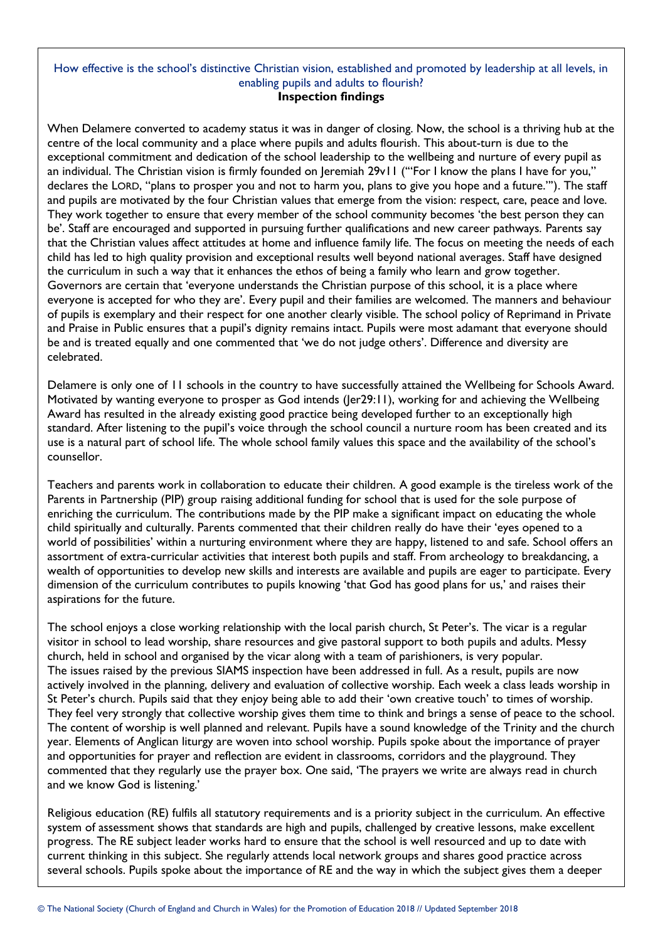#### How effective is the school's distinctive Christian vision, established and promoted by leadership at all levels, in enabling pupils and adults to flourish? **Inspection findings**

When Delamere converted to academy status it was in danger of closing. Now, the school is a thriving hub at the centre of the local community and a place where pupils and adults flourish. This about-turn is due to the exceptional commitment and dedication of the school leadership to the wellbeing and nurture of every pupil as an individual. The Christian vision is firmly founded on Jeremiah 29v11 ("For I know the plans I have for you," declares the LORD, "plans to prosper you and not to harm you, plans to give you hope and a future."'). The staff and pupils are motivated by the four Christian values that emerge from the vision: respect, care, peace and love. They work together to ensure that every member of the school community becomes 'the best person they can be'. Staff are encouraged and supported in pursuing further qualifications and new career pathways. Parents say that the Christian values affect attitudes at home and influence family life. The focus on meeting the needs of each child has led to high quality provision and exceptional results well beyond national averages. Staff have designed the curriculum in such a way that it enhances the ethos of being a family who learn and grow together. Governors are certain that 'everyone understands the Christian purpose of this school, it is a place where everyone is accepted for who they are'. Every pupil and their families are welcomed. The manners and behaviour of pupils is exemplary and their respect for one another clearly visible. The school policy of Reprimand in Private and Praise in Public ensures that a pupil's dignity remains intact. Pupils were most adamant that everyone should be and is treated equally and one commented that 'we do not judge others'. Difference and diversity are celebrated.

Delamere is only one of 11 schools in the country to have successfully attained the Wellbeing for Schools Award. Motivated by wanting everyone to prosper as God intends (Jer29:11), working for and achieving the Wellbeing Award has resulted in the already existing good practice being developed further to an exceptionally high standard. After listening to the pupil's voice through the school council a nurture room has been created and its use is a natural part of school life. The whole school family values this space and the availability of the school's counsellor.

Teachers and parents work in collaboration to educate their children. A good example is the tireless work of the Parents in Partnership (PIP) group raising additional funding for school that is used for the sole purpose of enriching the curriculum. The contributions made by the PIP make a significant impact on educating the whole child spiritually and culturally. Parents commented that their children really do have their 'eyes opened to a world of possibilities' within a nurturing environment where they are happy, listened to and safe. School offers an assortment of extra-curricular activities that interest both pupils and staff. From archeology to breakdancing, a wealth of opportunities to develop new skills and interests are available and pupils are eager to participate. Every dimension of the curriculum contributes to pupils knowing 'that God has good plans for us,' and raises their aspirations for the future.

The school enjoys a close working relationship with the local parish church, St Peter's. The vicar is a regular visitor in school to lead worship, share resources and give pastoral support to both pupils and adults. Messy church, held in school and organised by the vicar along with a team of parishioners, is very popular. The issues raised by the previous SIAMS inspection have been addressed in full. As a result, pupils are now actively involved in the planning, delivery and evaluation of collective worship. Each week a class leads worship in St Peter's church. Pupils said that they enjoy being able to add their 'own creative touch' to times of worship. They feel very strongly that collective worship gives them time to think and brings a sense of peace to the school. The content of worship is well planned and relevant. Pupils have a sound knowledge of the Trinity and the church year. Elements of Anglican liturgy are woven into school worship. Pupils spoke about the importance of prayer and opportunities for prayer and reflection are evident in classrooms, corridors and the playground. They commented that they regularly use the prayer box. One said, 'The prayers we write are always read in church and we know God is listening.'

Religious education (RE) fulfils all statutory requirements and is a priority subject in the curriculum. An effective system of assessment shows that standards are high and pupils, challenged by creative lessons, make excellent progress. The RE subject leader works hard to ensure that the school is well resourced and up to date with current thinking in this subject. She regularly attends local network groups and shares good practice across several schools. Pupils spoke about the importance of RE and the way in which the subject gives them a deeper